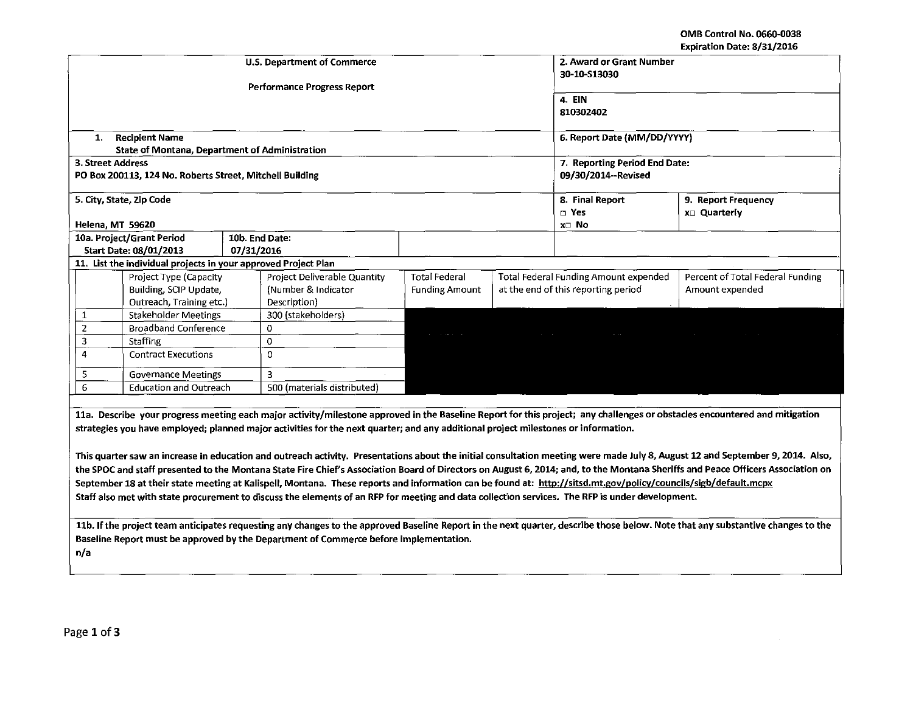## OMB Control No. 0660-0038 Expiration Date: 8/31/2016

| 2. Award or Grant Number           |                                                                                       |            |                                                                                                                                                                 |                       |                                     |                                       |                                                                                                                                                                                 |  |  |  |
|------------------------------------|---------------------------------------------------------------------------------------|------------|-----------------------------------------------------------------------------------------------------------------------------------------------------------------|-----------------------|-------------------------------------|---------------------------------------|---------------------------------------------------------------------------------------------------------------------------------------------------------------------------------|--|--|--|
| <b>U.S. Department of Commerce</b> |                                                                                       |            |                                                                                                                                                                 |                       |                                     | 30-10-S13030                          |                                                                                                                                                                                 |  |  |  |
|                                    |                                                                                       |            |                                                                                                                                                                 |                       |                                     |                                       |                                                                                                                                                                                 |  |  |  |
| <b>Performance Progress Report</b> |                                                                                       |            |                                                                                                                                                                 |                       |                                     |                                       |                                                                                                                                                                                 |  |  |  |
|                                    |                                                                                       |            |                                                                                                                                                                 |                       | 4. EIN                              |                                       |                                                                                                                                                                                 |  |  |  |
|                                    |                                                                                       |            |                                                                                                                                                                 |                       |                                     | 810302402                             |                                                                                                                                                                                 |  |  |  |
|                                    |                                                                                       |            |                                                                                                                                                                 |                       |                                     |                                       |                                                                                                                                                                                 |  |  |  |
| 1.                                 | <b>Recipient Name</b><br>State of Montana, Department of Administration               |            |                                                                                                                                                                 |                       |                                     | 6. Report Date (MM/DD/YYYY)           |                                                                                                                                                                                 |  |  |  |
| 3. Street Address                  |                                                                                       |            |                                                                                                                                                                 |                       |                                     | 7. Reporting Period End Date:         |                                                                                                                                                                                 |  |  |  |
|                                    | PO Box 200113, 124 No. Roberts Street, Mitchell Building                              |            |                                                                                                                                                                 |                       |                                     | 09/30/2014--Revised                   |                                                                                                                                                                                 |  |  |  |
|                                    |                                                                                       |            |                                                                                                                                                                 |                       |                                     |                                       |                                                                                                                                                                                 |  |  |  |
|                                    | 5. City, State, Zip Code                                                              |            |                                                                                                                                                                 |                       |                                     | 8. Final Report                       | 9. Report Frequency                                                                                                                                                             |  |  |  |
|                                    |                                                                                       |            |                                                                                                                                                                 |                       |                                     | $\square$ Yes                         | x□ Quarterly                                                                                                                                                                    |  |  |  |
| Helena, MT 59620                   |                                                                                       |            |                                                                                                                                                                 |                       |                                     | x⊡ No                                 |                                                                                                                                                                                 |  |  |  |
|                                    | 10a. Project/Grant Period                                                             |            | 10b. End Date:                                                                                                                                                  |                       |                                     |                                       |                                                                                                                                                                                 |  |  |  |
|                                    | Start Date: 08/01/2013                                                                | 07/31/2016 |                                                                                                                                                                 |                       |                                     |                                       |                                                                                                                                                                                 |  |  |  |
|                                    | 11. List the individual projects in your approved Project Plan                        |            |                                                                                                                                                                 |                       |                                     |                                       |                                                                                                                                                                                 |  |  |  |
|                                    | Project Type (Capacity                                                                |            | Project Deliverable Quantity                                                                                                                                    | <b>Total Federal</b>  |                                     | Total Federal Funding Amount expended | Percent of Total Federal Funding                                                                                                                                                |  |  |  |
|                                    | Building, SCIP Update,                                                                |            | (Number & Indicator                                                                                                                                             | <b>Funding Amount</b> | at the end of this reporting period |                                       | Amount expended                                                                                                                                                                 |  |  |  |
|                                    | Outreach, Training etc.)                                                              |            | Description)                                                                                                                                                    |                       |                                     |                                       |                                                                                                                                                                                 |  |  |  |
| $\mathbf{1}$                       | Stakeholder Meetings                                                                  |            | 300 (stakeholders)                                                                                                                                              |                       |                                     |                                       |                                                                                                                                                                                 |  |  |  |
| $\mathbf 2$                        | <b>Broadband Conference</b>                                                           |            | 0                                                                                                                                                               |                       |                                     |                                       |                                                                                                                                                                                 |  |  |  |
| 3                                  | <b>Staffing</b>                                                                       |            | $\Omega$                                                                                                                                                        |                       |                                     |                                       |                                                                                                                                                                                 |  |  |  |
| 4                                  | <b>Contract Executions</b>                                                            |            | $\Omega$                                                                                                                                                        |                       |                                     |                                       |                                                                                                                                                                                 |  |  |  |
|                                    |                                                                                       |            | 3                                                                                                                                                               |                       |                                     |                                       |                                                                                                                                                                                 |  |  |  |
| 5<br>6                             | <b>Governance Meetings</b><br><b>Education and Outreach</b>                           |            | 500 (materials distributed)                                                                                                                                     |                       |                                     |                                       |                                                                                                                                                                                 |  |  |  |
|                                    |                                                                                       |            |                                                                                                                                                                 |                       |                                     |                                       |                                                                                                                                                                                 |  |  |  |
|                                    |                                                                                       |            |                                                                                                                                                                 |                       |                                     |                                       | 11a. Describe your progress meeting each major activity/milestone approved in the Baseline Report for this project; any challenges or obstacles encountered and mitigation      |  |  |  |
|                                    |                                                                                       |            |                                                                                                                                                                 |                       |                                     |                                       |                                                                                                                                                                                 |  |  |  |
|                                    |                                                                                       |            | strategies you have employed; planned major activities for the next quarter; and any additional project milestones or information.                              |                       |                                     |                                       |                                                                                                                                                                                 |  |  |  |
|                                    |                                                                                       |            |                                                                                                                                                                 |                       |                                     |                                       |                                                                                                                                                                                 |  |  |  |
|                                    |                                                                                       |            |                                                                                                                                                                 |                       |                                     |                                       | This quarter saw an increase in education and outreach activity. Presentations about the initial consultation meeting were made July 8, August 12 and September 9, 2014. Also,  |  |  |  |
|                                    |                                                                                       |            |                                                                                                                                                                 |                       |                                     |                                       | the SPOC and staff presented to the Montana State Fire Chief's Association Board of Directors on August 6, 2014; and, to the Montana Sheriffs and Peace Officers Association on |  |  |  |
|                                    |                                                                                       |            | September 18 at their state meeting at Kalispell, Montana. These reports and information can be found at: http://sitsd.mt.gov/policy/councils/sigb/default.mcpx |                       |                                     |                                       |                                                                                                                                                                                 |  |  |  |
|                                    |                                                                                       |            | Staff also met with state procurement to discuss the elements of an RFP for meeting and data collection services. The RFP is under development.                 |                       |                                     |                                       |                                                                                                                                                                                 |  |  |  |
|                                    |                                                                                       |            |                                                                                                                                                                 |                       |                                     |                                       |                                                                                                                                                                                 |  |  |  |
|                                    |                                                                                       |            |                                                                                                                                                                 |                       |                                     |                                       | 11b. If the project team anticipates requesting any changes to the approved Baseline Report in the next quarter, describe those below. Note that any substantive changes to the |  |  |  |
|                                    | Baseline Report must be approved by the Department of Commerce before implementation. |            |                                                                                                                                                                 |                       |                                     |                                       |                                                                                                                                                                                 |  |  |  |
| n/a                                |                                                                                       |            |                                                                                                                                                                 |                       |                                     |                                       |                                                                                                                                                                                 |  |  |  |
|                                    |                                                                                       |            |                                                                                                                                                                 |                       |                                     |                                       |                                                                                                                                                                                 |  |  |  |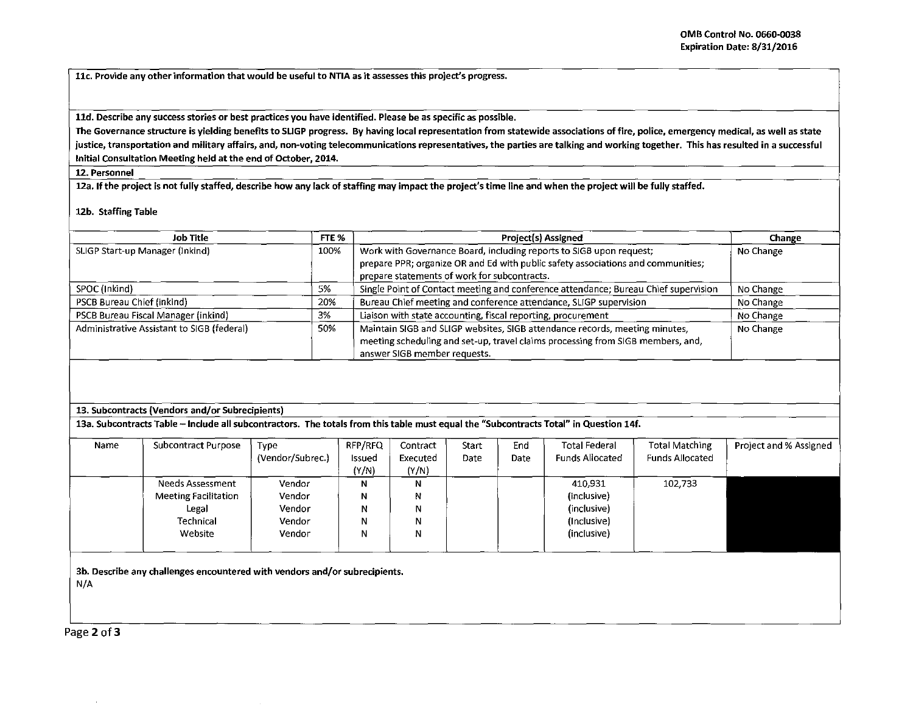11c. Provide any other information that would be useful to NTIA as it assesses this project's progress.

lld. Describe any success stories or best practices you have identified. Please be as specific as possible.

The Governance structure is yielding benefits to SLIGP progress. By having local representation from statewide associations of fire, police, emergency medical, as well as state justice, transportation and military affairs, and, non-voting telecommunications representatives, the parties are talking and working together. This has resulted in a successful Initial Consultation Meeting held at the end of October, 2014.

12. Personnel

12a. If the project is not fully staffed, describe how any lack of staffing may impact the project's time line and when the project will be fully staffed.

12b. Staffing Table

| <b>Job Title</b>                           | FTE % | <b>Project(s) Assigned</b>                                                                                                                                                                     | Change    |
|--------------------------------------------|-------|------------------------------------------------------------------------------------------------------------------------------------------------------------------------------------------------|-----------|
| SLIGP Start-up Manager (Inkind)            | 100%  | Work with Governance Board, including reports to SIGB upon request;<br>prepare PPR; organize OR and Ed with public safety associations and communities;                                        | No Change |
|                                            |       | prepare statements of work for subcontracts.                                                                                                                                                   |           |
| SPOC (Inkind)                              | 5%    | Single Point of Contact meeting and conference attendance; Bureau Chief supervision                                                                                                            | No Change |
| PSCB Bureau Chief (inkind)                 | 20%   | Bureau Chief meeting and conference attendance, SLIGP supervision                                                                                                                              | No Change |
| PSCB Bureau Fiscal Manager (inkind)        | 3%    | Liaison with state accounting, fiscal reporting, procurement                                                                                                                                   | No Change |
| Administrative Assistant to SIGB (federal) | 50%   | Maintain SIGB and SLIGP websites, SIGB attendance records, meeting minutes,<br>meeting scheduling and set-up, travel claims processing from SIGB members, and,<br>answer SIGB member requests. | No Change |

## 13. Subcontracts (Vendors and/or Subrecipients)

13a. Subcontracts Table - Include all subcontractors. The totals from this table must equal the "Subcontracts Total" in Question 14f.

| Name | Subcontract Purpose         | Type             | RFP/RFQ | Contract | Start | End         | <b>Total Federal</b>   | <b>Total Matching</b>  | Project and % Assigned |
|------|-----------------------------|------------------|---------|----------|-------|-------------|------------------------|------------------------|------------------------|
|      |                             | (Vendor/Subrec.) | Issued  | Executed | Date  | <b>Date</b> | <b>Funds Allocated</b> | <b>Funds Allocated</b> |                        |
|      |                             |                  | (Y/N)   | (Y/N)    |       |             |                        |                        |                        |
|      | Needs Assessment            | Vendor           | Ν       | Ν        |       |             | 410,931                | 102,733                |                        |
|      | <b>Meeting Facilitation</b> | Vendor           | Ν       | N        |       |             | (inclusive)            |                        |                        |
|      | Legal                       | Vendor           |         | N        |       |             | (inclusive)            |                        |                        |
|      | Technical                   | Vendor           | N       | N        |       |             | (Inclusive)            |                        |                        |
|      | Website                     | Vendor           | N       | N        |       |             | (inclusive)            |                        |                        |
|      |                             |                  |         |          |       |             |                        |                        |                        |

3b. Describe any challenges encountered with vendors and/or subrecipients. N/A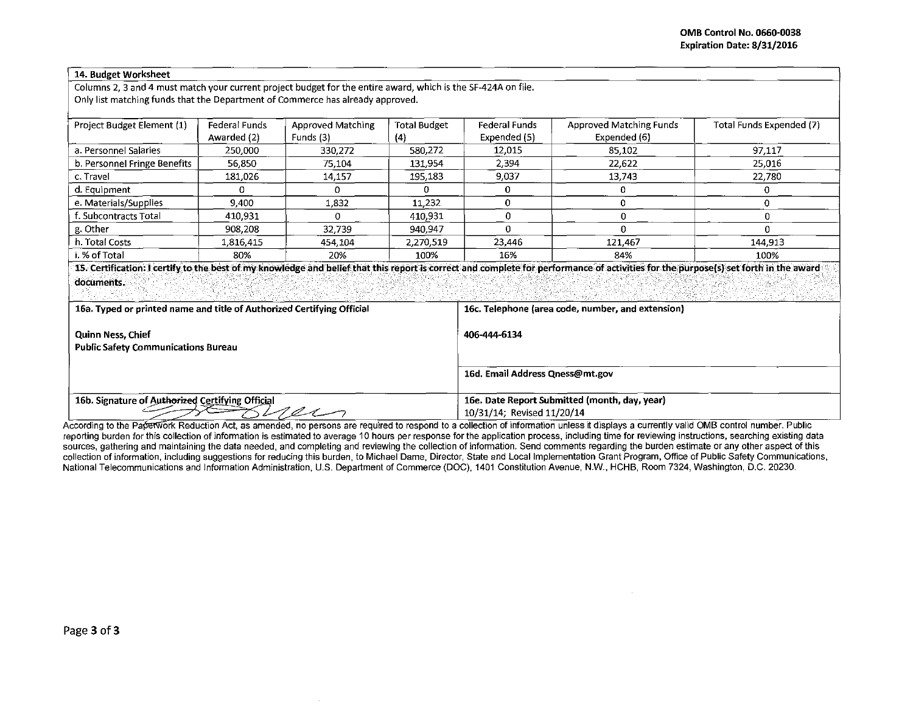| 14. Budget Worksheet                                                                                                                                                                      |               |                   |                     |                                                   |                                                                                                                                                                                      |                          |  |  |  |  |
|-------------------------------------------------------------------------------------------------------------------------------------------------------------------------------------------|---------------|-------------------|---------------------|---------------------------------------------------|--------------------------------------------------------------------------------------------------------------------------------------------------------------------------------------|--------------------------|--|--|--|--|
| Columns 2, 3 and 4 must match your current project budget for the entire award, which is the SF-424A on file.                                                                             |               |                   |                     |                                                   |                                                                                                                                                                                      |                          |  |  |  |  |
| Only list matching funds that the Department of Commerce has already approved.                                                                                                            |               |                   |                     |                                                   |                                                                                                                                                                                      |                          |  |  |  |  |
|                                                                                                                                                                                           |               |                   |                     |                                                   |                                                                                                                                                                                      |                          |  |  |  |  |
| Project Budget Element (1)                                                                                                                                                                | Federal Funds | Approved Matching | <b>Total Budget</b> | <b>Federal Funds</b>                              | <b>Approved Matching Funds</b>                                                                                                                                                       | Total Funds Expended (7) |  |  |  |  |
|                                                                                                                                                                                           | Awarded (2)   | Funds (3)         | (4)                 | Expended (5)                                      | Expended (6)                                                                                                                                                                         |                          |  |  |  |  |
| a. Personnel Salaries                                                                                                                                                                     | 250,000       | 330,272           | 580.272             | 12,015                                            | 85,102                                                                                                                                                                               | 97,117                   |  |  |  |  |
| b. Personnel Fringe Benefits                                                                                                                                                              | 56 850        | 75.104            | 131.954             | 2,394                                             | 22,622                                                                                                                                                                               | 25,016                   |  |  |  |  |
| c. Travel                                                                                                                                                                                 | 181,026       | 14,157            | 195,183             | 9,037                                             | 13,743                                                                                                                                                                               | 22,780                   |  |  |  |  |
| d. Equipment                                                                                                                                                                              | 0             | 0                 | $\Omega$            | 0                                                 | 0                                                                                                                                                                                    | 0                        |  |  |  |  |
| e. Materials/Supplies                                                                                                                                                                     | 9,400         | 1.832             | 11,232              | 0                                                 | $\Omega$                                                                                                                                                                             | $\Omega$                 |  |  |  |  |
| f. Subcontracts Total                                                                                                                                                                     | 410,931       | O                 | 410.931             | 0                                                 | $\mathbf 0$                                                                                                                                                                          | 0                        |  |  |  |  |
| g. Other                                                                                                                                                                                  | 908,208       | 32,739            | 940.947             | 0                                                 | $\Omega$                                                                                                                                                                             | $\Omega$                 |  |  |  |  |
| h. Total Costs                                                                                                                                                                            | 1,816,415     | 454,104           | 2,270,519           | 23,446                                            | 121.467                                                                                                                                                                              | 144,913                  |  |  |  |  |
| i. % of Total                                                                                                                                                                             | 80%           | 20%               | 100%                | 16%                                               | 84%                                                                                                                                                                                  | 100%                     |  |  |  |  |
|                                                                                                                                                                                           |               |                   |                     |                                                   | 15. Certification: I certify to the best of my knowledge and belief that this report is correct and complete for performance of activities for the purpose(s) set forth in the award |                          |  |  |  |  |
| documents.                                                                                                                                                                                |               |                   |                     |                                                   |                                                                                                                                                                                      |                          |  |  |  |  |
|                                                                                                                                                                                           |               |                   |                     |                                                   |                                                                                                                                                                                      |                          |  |  |  |  |
| 16a. Typed or printed name and title of Authorized Certifying Official                                                                                                                    |               |                   |                     | 16c. Telephone (area code, number, and extension) |                                                                                                                                                                                      |                          |  |  |  |  |
|                                                                                                                                                                                           |               |                   |                     | 406-444-6134                                      |                                                                                                                                                                                      |                          |  |  |  |  |
| <b>Quinn Ness, Chief</b>                                                                                                                                                                  |               |                   |                     |                                                   |                                                                                                                                                                                      |                          |  |  |  |  |
| <b>Public Safety Communications Bureau</b>                                                                                                                                                |               |                   |                     |                                                   |                                                                                                                                                                                      |                          |  |  |  |  |
|                                                                                                                                                                                           |               |                   |                     |                                                   |                                                                                                                                                                                      |                          |  |  |  |  |
|                                                                                                                                                                                           |               |                   |                     | 16d. Email Address Qness@mt.gov                   |                                                                                                                                                                                      |                          |  |  |  |  |
| 16b. Signature of Authorized Certifying Official                                                                                                                                          |               |                   |                     | 16e. Date Report Submitted (month, day, year)     |                                                                                                                                                                                      |                          |  |  |  |  |
| <u>r ex</u>                                                                                                                                                                               |               |                   |                     | 10/31/14; Revised 11/20/14                        |                                                                                                                                                                                      |                          |  |  |  |  |
| coording to the Portation's Peduction Act, as amonded, no persons are required to respend to a collection of information unless it displays a currently valid OMR control number. Public, |               |                   |                     |                                                   |                                                                                                                                                                                      |                          |  |  |  |  |

According to the Paperwork Reduction Act, as amended, no persons are required to respond to a collection of information unless it displays a currently valid OMB control number. Public<br>reporting burden for this collection o sources, gathering and maintaining the data needed, and completing and reviewing the collection of information. Send comments regarding the burden estimate or any other aspect of this collection of information, including suggestions for reducing this burden, to Michael Dame, Director, State and Local Implementation Grant Program, Office of Public Safety Communications, National Telecommunications and Information Administration, U.S. Department of Commerce (DOC), 1401 Constitution Avenue, N.W., HCHB, Room 7324, Washington, D.C. 20230.

 $\sim 10^{-1}$